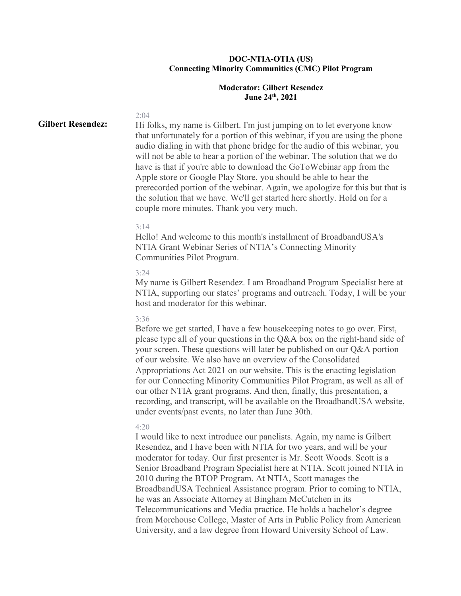# **DOC-NTIA-OTIA (US) Connecting Minority Communities (CMC) Pilot Program**

# **Moderator: Gilbert Resendez June 24th, 2021**

# **Gilbert Resendez:**

Hi folks, my name is Gilbert. I'm just jumping on to let everyone know that unfortunately for a portion of this webinar, if you are using the phone audio dialing in with that phone bridge for the audio of this webinar, you will not be able to hear a portion of the webinar. The solution that we do have is that if you're able to download the GoToWebinar app from the Apple store or Google Play Store, you should be able to hear the prerecorded portion of the webinar. Again, we apologize for this but that is the solution that we have. We'll get started here shortly. Hold on for a couple more minutes. Thank you very much.

### 3:14

2:04

Hello! And welcome to this month's installment of BroadbandUSA's NTIA Grant Webinar Series of NTIA's Connecting Minority Communities Pilot Program.

# 3:24

My name is Gilbert Resendez. I am Broadband Program Specialist here at NTIA, supporting our states' programs and outreach. Today, I will be your host and moderator for this webinar.

#### 3:36

Before we get started, I have a few housekeeping notes to go over. First, please type all of your questions in the Q&A box on the right-hand side of your screen. These questions will later be published on our Q&A portion of our website. We also have an overview of the Consolidated Appropriations Act 2021 on our website. This is the enacting legislation for our Connecting Minority Communities Pilot Program, as well as all of our other NTIA grant programs. And then, finally, this presentation, a recording, and transcript, will be available on the BroadbandUSA website, under events/past events, no later than June 30th.

#### 4:20

I would like to next introduce our panelists. Again, my name is Gilbert Resendez, and I have been with NTIA for two years, and will be your moderator for today. Our first presenter is Mr. Scott Woods. Scott is a Senior Broadband Program Specialist here at NTIA. Scott joined NTIA in 2010 during the BTOP Program. At NTIA, Scott manages the BroadbandUSA Technical Assistance program. Prior to coming to NTIA, he was an Associate Attorney at Bingham McCutchen in its Telecommunications and Media practice. He holds a bachelor's degree from Morehouse College, Master of Arts in Public Policy from American University, and a law degree from Howard University School of Law.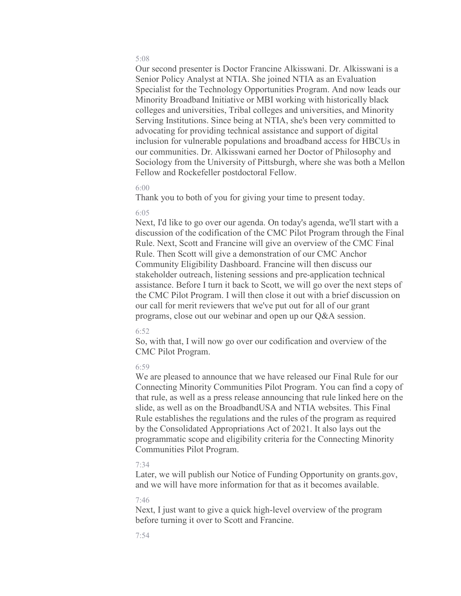Our second presenter is Doctor Francine Alkisswani. Dr. Alkisswani is a Senior Policy Analyst at NTIA. She joined NTIA as an Evaluation Specialist for the Technology Opportunities Program. And now leads our Minority Broadband Initiative or MBI working with historically black colleges and universities, Tribal colleges and universities, and Minority Serving Institutions. Since being at NTIA, she's been very committed to advocating for providing technical assistance and support of digital inclusion for vulnerable populations and broadband access for HBCUs in our communities. Dr. Alkisswani earned her Doctor of Philosophy and Sociology from the University of Pittsburgh, where she was both a Mellon Fellow and Rockefeller postdoctoral Fellow.

### 6:00

Thank you to both of you for giving your time to present today.

#### 6:05

Next, I'd like to go over our agenda. On today's agenda, we'll start with a discussion of the codification of the CMC Pilot Program through the Final Rule. Next, Scott and Francine will give an overview of the CMC Final Rule. Then Scott will give a demonstration of our CMC Anchor Community Eligibility Dashboard. Francine will then discuss our stakeholder outreach, listening sessions and pre-application technical assistance. Before I turn it back to Scott, we will go over the next steps of the CMC Pilot Program. I will then close it out with a brief discussion on our call for merit reviewers that we've put out for all of our grant programs, close out our webinar and open up our Q&A session.

# 6:52

So, with that, I will now go over our codification and overview of the CMC Pilot Program.

# 6:59

We are pleased to announce that we have released our Final Rule for our Connecting Minority Communities Pilot Program. You can find a copy of that rule, as well as a press release announcing that rule linked here on the slide, as well as on the BroadbandUSA and NTIA websites. This Final Rule establishes the regulations and the rules of the program as required by the Consolidated Appropriations Act of 2021. It also lays out the programmatic scope and eligibility criteria for the Connecting Minority Communities Pilot Program.

# 7:34

Later, we will publish our Notice of Funding Opportunity on grants.gov, and we will have more information for that as it becomes available.

### 7:46

Next, I just want to give a quick high-level overview of the program before turning it over to Scott and Francine.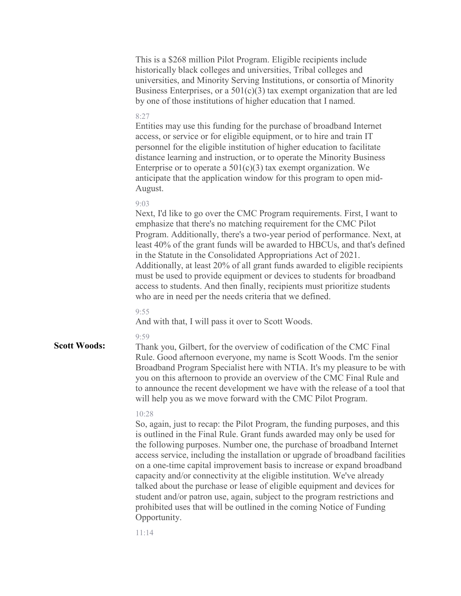|                     | This is a \$268 million Pilot Program. Eligible recipients include<br>historically black colleges and universities, Tribal colleges and<br>universities, and Minority Serving Institutions, or consortia of Minority<br>Business Enterprises, or a $501(c)(3)$ tax exempt organization that are led<br>by one of those institutions of higher education that I named.                                                                                                                                                                                                                                                                                                                                                              |
|---------------------|------------------------------------------------------------------------------------------------------------------------------------------------------------------------------------------------------------------------------------------------------------------------------------------------------------------------------------------------------------------------------------------------------------------------------------------------------------------------------------------------------------------------------------------------------------------------------------------------------------------------------------------------------------------------------------------------------------------------------------|
|                     | 8:27<br>Entities may use this funding for the purchase of broadband Internet<br>access, or service or for eligible equipment, or to hire and train IT<br>personnel for the eligible institution of higher education to facilitate<br>distance learning and instruction, or to operate the Minority Business<br>Enterprise or to operate a $501(c)(3)$ tax exempt organization. We<br>anticipate that the application window for this program to open mid-<br>August.                                                                                                                                                                                                                                                               |
|                     | 9:03<br>Next, I'd like to go over the CMC Program requirements. First, I want to<br>emphasize that there's no matching requirement for the CMC Pilot<br>Program. Additionally, there's a two-year period of performance. Next, at<br>least 40% of the grant funds will be awarded to HBCUs, and that's defined<br>in the Statute in the Consolidated Appropriations Act of 2021.<br>Additionally, at least 20% of all grant funds awarded to eligible recipients<br>must be used to provide equipment or devices to students for broadband<br>access to students. And then finally, recipients must prioritize students<br>who are in need per the needs criteria that we defined.                                                 |
|                     | 9:55<br>And with that, I will pass it over to Scott Woods.                                                                                                                                                                                                                                                                                                                                                                                                                                                                                                                                                                                                                                                                         |
| <b>Scott Woods:</b> | 9:59<br>Thank you, Gilbert, for the overview of codification of the CMC Final<br>Rule. Good afternoon everyone, my name is Scott Woods. I'm the senior<br>Broadband Program Specialist here with NTIA. It's my pleasure to be with<br>you on this afternoon to provide an overview of the CMC Final Rule and<br>to announce the recent development we have with the release of a tool that<br>will help you as we move forward with the CMC Pilot Program.                                                                                                                                                                                                                                                                         |
|                     | 10:28<br>So, again, just to recap: the Pilot Program, the funding purposes, and this<br>is outlined in the Final Rule. Grant funds awarded may only be used for<br>the following purposes. Number one, the purchase of broadband Internet<br>access service, including the installation or upgrade of broadband facilities<br>on a one-time capital improvement basis to increase or expand broadband<br>capacity and/or connectivity at the eligible institution. We've already<br>talked about the purchase or lease of eligible equipment and devices for<br>student and/or patron use, again, subject to the program restrictions and<br>prohibited uses that will be outlined in the coming Notice of Funding<br>Opportunity. |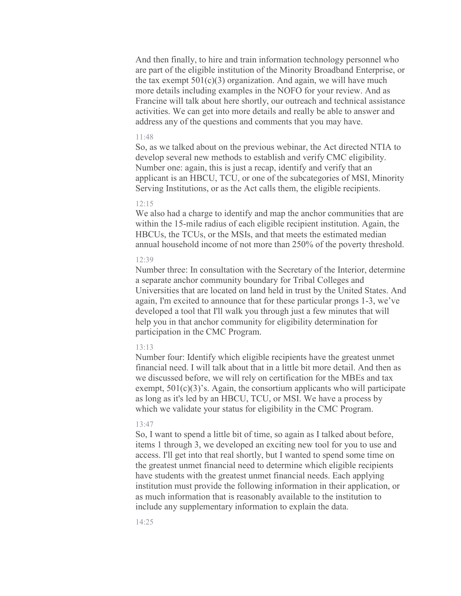And then finally, to hire and train information technology personnel who are part of the eligible institution of the Minority Broadband Enterprise, or the tax exempt  $501(c)(3)$  organization. And again, we will have much more details including examples in the NOFO for your review. And as Francine will talk about here shortly, our outreach and technical assistance activities. We can get into more details and really be able to answer and address any of the questions and comments that you may have.

### 11:48

So, as we talked about on the previous webinar, the Act directed NTIA to develop several new methods to establish and verify CMC eligibility. Number one: again, this is just a recap, identify and verify that an applicant is an HBCU, TCU, or one of the subcategories of MSI, Minority Serving Institutions, or as the Act calls them, the eligible recipients.

#### 12:15

We also had a charge to identify and map the anchor communities that are within the 15-mile radius of each eligible recipient institution. Again, the HBCUs, the TCUs, or the MSIs, and that meets the estimated median annual household income of not more than 250% of the poverty threshold.

### 12:39

Number three: In consultation with the Secretary of the Interior, determine a separate anchor community boundary for Tribal Colleges and Universities that are located on land held in trust by the United States. And again, I'm excited to announce that for these particular prongs 1-3, we've developed a tool that I'll walk you through just a few minutes that will help you in that anchor community for eligibility determination for participation in the CMC Program.

#### 13:13

Number four: Identify which eligible recipients have the greatest unmet financial need. I will talk about that in a little bit more detail. And then as we discussed before, we will rely on certification for the MBEs and tax exempt,  $501(c)(3)$ 's. Again, the consortium applicants who will participate as long as it's led by an HBCU, TCU, or MSI. We have a process by which we validate your status for eligibility in the CMC Program.

#### 13:47

So, I want to spend a little bit of time, so again as I talked about before, items 1 through 3, we developed an exciting new tool for you to use and access. I'll get into that real shortly, but I wanted to spend some time on the greatest unmet financial need to determine which eligible recipients have students with the greatest unmet financial needs. Each applying institution must provide the following information in their application, or as much information that is reasonably available to the institution to include any supplementary information to explain the data.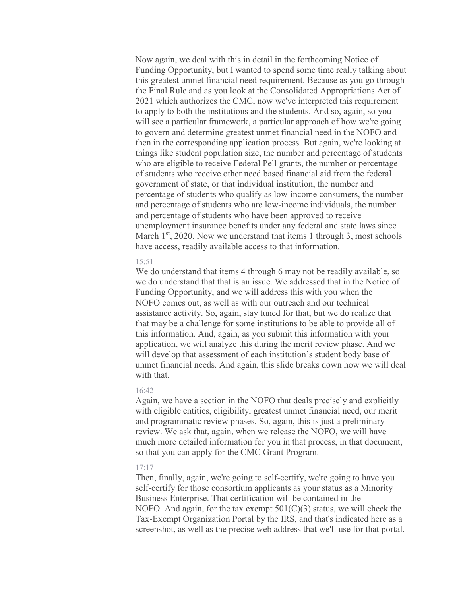Now again, we deal with this in detail in the forthcoming Notice of Funding Opportunity, but I wanted to spend some time really talking about this greatest unmet financial need requirement. Because as you go through the Final Rule and as you look at the Consolidated Appropriations Act of 2021 which authorizes the CMC, now we've interpreted this requirement to apply to both the institutions and the students. And so, again, so you will see a particular framework, a particular approach of how we're going to govern and determine greatest unmet financial need in the NOFO and then in the corresponding application process. But again, we're looking at things like student population size, the number and percentage of students who are eligible to receive Federal Pell grants, the number or percentage of students who receive other need based financial aid from the federal government of state, or that individual institution, the number and percentage of students who qualify as low-income consumers, the number and percentage of students who are low-income individuals, the number and percentage of students who have been approved to receive unemployment insurance benefits under any federal and state laws since March  $1<sup>st</sup>$ , 2020. Now we understand that items 1 through 3, most schools have access, readily available access to that information.

# 15:51

We do understand that items 4 through 6 may not be readily available, so we do understand that that is an issue. We addressed that in the Notice of Funding Opportunity, and we will address this with you when the NOFO comes out, as well as with our outreach and our technical assistance activity. So, again, stay tuned for that, but we do realize that that may be a challenge for some institutions to be able to provide all of this information. And, again, as you submit this information with your application, we will analyze this during the merit review phase. And we will develop that assessment of each institution's student body base of unmet financial needs. And again, this slide breaks down how we will deal with that.

### 16:42

Again, we have a section in the NOFO that deals precisely and explicitly with eligible entities, eligibility, greatest unmet financial need, our merit and programmatic review phases. So, again, this is just a preliminary review. We ask that, again, when we release the NOFO, we will have much more detailed information for you in that process, in that document, so that you can apply for the CMC Grant Program.

# $17.17$

Then, finally, again, we're going to self-certify, we're going to have you self-certify for those consortium applicants as your status as a Minority Business Enterprise. That certification will be contained in the NOFO. And again, for the tax exempt  $501(C)(3)$  status, we will check the Tax-Exempt Organization Portal by the IRS, and that's indicated here as a screenshot, as well as the precise web address that we'll use for that portal.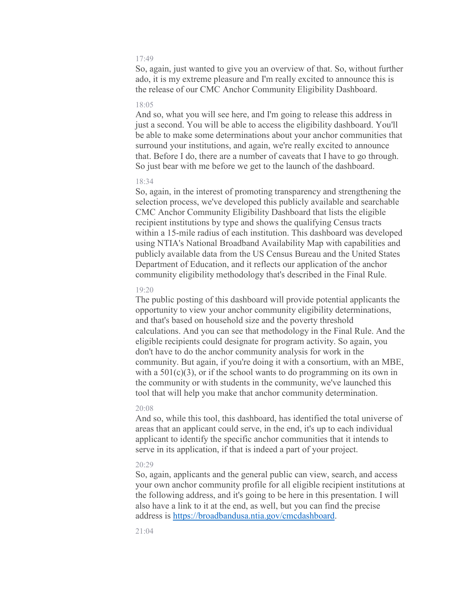So, again, just wanted to give you an overview of that. So, without further ado, it is my extreme pleasure and I'm really excited to announce this is the release of our CMC Anchor Community Eligibility Dashboard.

# 18:05

And so, what you will see here, and I'm going to release this address in just a second. You will be able to access the eligibility dashboard. You'll be able to make some determinations about your anchor communities that surround your institutions, and again, we're really excited to announce that. Before I do, there are a number of caveats that I have to go through. So just bear with me before we get to the launch of the dashboard.

# 18:34

So, again, in the interest of promoting transparency and strengthening the selection process, we've developed this publicly available and searchable CMC Anchor Community Eligibility Dashboard that lists the eligible recipient institutions by type and shows the qualifying Census tracts within a 15-mile radius of each institution. This dashboard was developed using NTIA's National Broadband Availability Map with capabilities and publicly available data from the US Census Bureau and the United States Department of Education, and it reflects our application of the anchor community eligibility methodology that's described in the Final Rule.

# 19:20

The public posting of this dashboard will provide potential applicants the opportunity to view your anchor community eligibility determinations, and that's based on household size and the poverty threshold calculations. And you can see that methodology in the Final Rule. And the eligible recipients could designate for program activity. So again, you don't have to do the anchor community analysis for work in the community. But again, if you're doing it with a consortium, with an MBE, with a  $501(c)(3)$ , or if the school wants to do programming on its own in the community or with students in the community, we've launched this tool that will help you make that anchor community determination.

#### $20.08$

And so, while this tool, this dashboard, has identified the total universe of areas that an applicant could serve, in the end, it's up to each individual applicant to identify the specific anchor communities that it intends to serve in its application, if that is indeed a part of your project.

### 20:29

So, again, applicants and the general public can view, search, and access your own anchor community profile for all eligible recipient institutions at the following address, and it's going to be here in this presentation. I will also have a link to it at the end, as well, but you can find the precise address is [https://broadbandusa.ntia.gov/cmcdashboard.](https://broadbandusa.ntia.gov/cmcdashboard)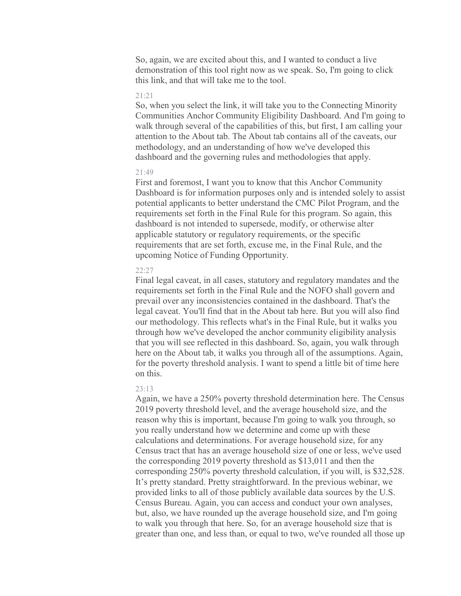So, again, we are excited about this, and I wanted to conduct a live demonstration of this tool right now as we speak. So, I'm going to click this link, and that will take me to the tool.

# 21:21

So, when you select the link, it will take you to the Connecting Minority Communities Anchor Community Eligibility Dashboard. And I'm going to walk through several of the capabilities of this, but first, I am calling your attention to the About tab. The About tab contains all of the caveats, our methodology, and an understanding of how we've developed this dashboard and the governing rules and methodologies that apply.

# 21:49

First and foremost, I want you to know that this Anchor Community Dashboard is for information purposes only and is intended solely to assist potential applicants to better understand the CMC Pilot Program, and the requirements set forth in the Final Rule for this program. So again, this dashboard is not intended to supersede, modify, or otherwise alter applicable statutory or regulatory requirements, or the specific requirements that are set forth, excuse me, in the Final Rule, and the upcoming Notice of Funding Opportunity.

# 22:27

Final legal caveat, in all cases, statutory and regulatory mandates and the requirements set forth in the Final Rule and the NOFO shall govern and prevail over any inconsistencies contained in the dashboard. That's the legal caveat. You'll find that in the About tab here. But you will also find our methodology. This reflects what's in the Final Rule, but it walks you through how we've developed the anchor community eligibility analysis that you will see reflected in this dashboard. So, again, you walk through here on the About tab, it walks you through all of the assumptions. Again, for the poverty threshold analysis. I want to spend a little bit of time here on this.

# 23:13

Again, we have a 250% poverty threshold determination here. The Census 2019 poverty threshold level, and the average household size, and the reason why this is important, because I'm going to walk you through, so you really understand how we determine and come up with these calculations and determinations. For average household size, for any Census tract that has an average household size of one or less, we've used the corresponding 2019 poverty threshold as \$13,011 and then the corresponding 250% poverty threshold calculation, if you will, is \$32,528. It's pretty standard. Pretty straightforward. In the previous webinar, we provided links to all of those publicly available data sources by the U.S. Census Bureau. Again, you can access and conduct your own analyses, but, also, we have rounded up the average household size, and I'm going to walk you through that here. So, for an average household size that is greater than one, and less than, or equal to two, we've rounded all those up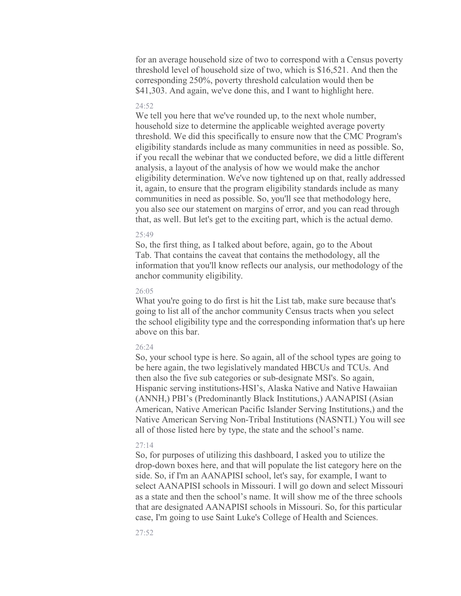for an average household size of two to correspond with a Census poverty threshold level of household size of two, which is \$16,521. And then the corresponding 250%, poverty threshold calculation would then be \$41,303. And again, we've done this, and I want to highlight here.

### $24.52$

We tell you here that we've rounded up, to the next whole number, household size to determine the applicable weighted average poverty threshold. We did this specifically to ensure now that the CMC Program's eligibility standards include as many communities in need as possible. So, if you recall the webinar that we conducted before, we did a little different analysis, a layout of the analysis of how we would make the anchor eligibility determination. We've now tightened up on that, really addressed it, again, to ensure that the program eligibility standards include as many communities in need as possible. So, you'll see that methodology here, you also see our statement on margins of error, and you can read through that, as well. But let's get to the exciting part, which is the actual demo.

#### 25:49

So, the first thing, as I talked about before, again, go to the About Tab. That contains the caveat that contains the methodology, all the information that you'll know reflects our analysis, our methodology of the anchor community eligibility.

# 26:05

What you're going to do first is hit the List tab, make sure because that's going to list all of the anchor community Census tracts when you select the school eligibility type and the corresponding information that's up here above on this bar.

# 26:24

So, your school type is here. So again, all of the school types are going to be here again, the two legislatively mandated HBCUs and TCUs. And then also the five sub categories or sub-designate MSI's. So again, Hispanic serving institutions-HSI's, Alaska Native and Native Hawaiian (ANNH,) PBI's (Predominantly Black Institutions,) AANAPISI (Asian American, Native American Pacific Islander Serving Institutions,) and the Native American Serving Non-Tribal Institutions (NASNTI.) You will see all of those listed here by type, the state and the school's name.

#### 27:14

So, for purposes of utilizing this dashboard, I asked you to utilize the drop-down boxes here, and that will populate the list category here on the side. So, if I'm an AANAPISI school, let's say, for example, I want to select AANAPISI schools in Missouri. I will go down and select Missouri as a state and then the school's name. It will show me of the three schools that are designated AANAPISI schools in Missouri. So, for this particular case, I'm going to use Saint Luke's College of Health and Sciences.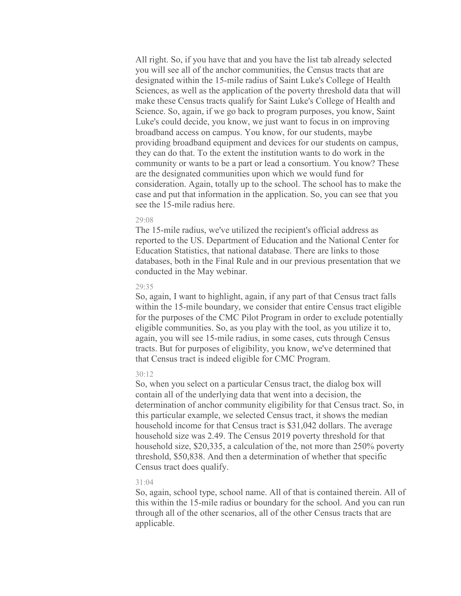All right. So, if you have that and you have the list tab already selected you will see all of the anchor communities, the Census tracts that are designated within the 15-mile radius of Saint Luke's College of Health Sciences, as well as the application of the poverty threshold data that will make these Census tracts qualify for Saint Luke's College of Health and Science. So, again, if we go back to program purposes, you know, Saint Luke's could decide, you know, we just want to focus in on improving broadband access on campus. You know, for our students, maybe providing broadband equipment and devices for our students on campus, they can do that. To the extent the institution wants to do work in the community or wants to be a part or lead a consortium. You know? These are the designated communities upon which we would fund for consideration. Again, totally up to the school. The school has to make the case and put that information in the application. So, you can see that you see the 15-mile radius here.

### 29:08

The 15-mile radius, we've utilized the recipient's official address as reported to the US. Department of Education and the National Center for Education Statistics, that national database. There are links to those databases, both in the Final Rule and in our previous presentation that we conducted in the May webinar.

#### 29:35

So, again, I want to highlight, again, if any part of that Census tract falls within the 15-mile boundary, we consider that entire Census tract eligible for the purposes of the CMC Pilot Program in order to exclude potentially eligible communities. So, as you play with the tool, as you utilize it to, again, you will see 15-mile radius, in some cases, cuts through Census tracts. But for purposes of eligibility, you know, we've determined that that Census tract is indeed eligible for CMC Program.

# 30:12

So, when you select on a particular Census tract, the dialog box will contain all of the underlying data that went into a decision, the determination of anchor community eligibility for that Census tract. So, in this particular example, we selected Census tract, it shows the median household income for that Census tract is \$31,042 dollars. The average household size was 2.49. The Census 2019 poverty threshold for that household size, \$20,335, a calculation of the, not more than 250% poverty threshold, \$50,838. And then a determination of whether that specific Census tract does qualify.

### $31.04$

So, again, school type, school name. All of that is contained therein. All of this within the 15-mile radius or boundary for the school. And you can run through all of the other scenarios, all of the other Census tracts that are applicable.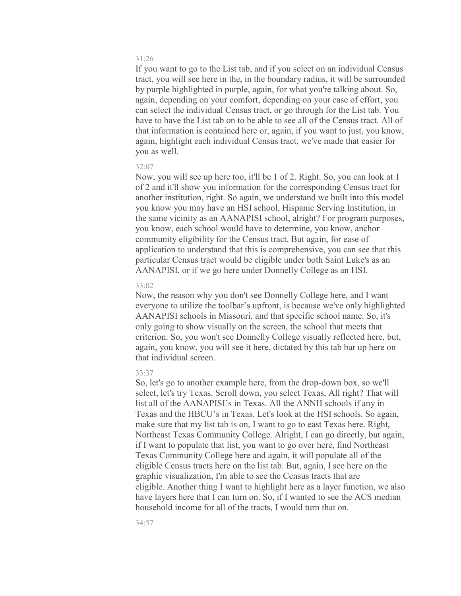If you want to go to the List tab, and if you select on an individual Census tract, you will see here in the, in the boundary radius, it will be surrounded by purple highlighted in purple, again, for what you're talking about. So, again, depending on your comfort, depending on your ease of effort, you can select the individual Census tract, or go through for the List tab. You have to have the List tab on to be able to see all of the Census tract. All of that information is contained here or, again, if you want to just, you know, again, highlight each individual Census tract, we've made that easier for you as well.

#### 32:07

Now, you will see up here too, it'll be 1 of 2. Right. So, you can look at 1 of 2 and it'll show you information for the corresponding Census tract for another institution, right. So again, we understand we built into this model you know you may have an HSI school, Hispanic Serving Institution, in the same vicinity as an AANAPISI school, alright? For program purposes, you know, each school would have to determine, you know, anchor community eligibility for the Census tract. But again, for ease of application to understand that this is comprehensive, you can see that this particular Census tract would be eligible under both Saint Luke's as an AANAPISI, or if we go here under Donnelly College as an HSI.

### 33:02

Now, the reason why you don't see Donnelly College here, and I want everyone to utilize the toolbar's upfront, is because we've only highlighted AANAPISI schools in Missouri, and that specific school name. So, it's only going to show visually on the screen, the school that meets that criterion. So, you won't see Donnelly College visually reflected here, but, again, you know, you will see it here, dictated by this tab bar up here on that individual screen.

# 33:37

So, let's go to another example here, from the drop-down box, so we'll select, let's try Texas. Scroll down, you select Texas, All right? That will list all of the AANAPISI's in Texas. All the ANNH schools if any in Texas and the HBCU's in Texas. Let's look at the HSI schools. So again, make sure that my list tab is on, I want to go to east Texas here. Right, Northeast Texas Community College. Alright, I can go directly, but again, if I want to populate that list, you want to go over here, find Northeast Texas Community College here and again, it will populate all of the eligible Census tracts here on the list tab. But, again, I see here on the graphic visualization, I'm able to see the Census tracts that are eligible. Another thing I want to highlight here as a layer function, we also have layers here that I can turn on. So, if I wanted to see the ACS median household income for all of the tracts, I would turn that on.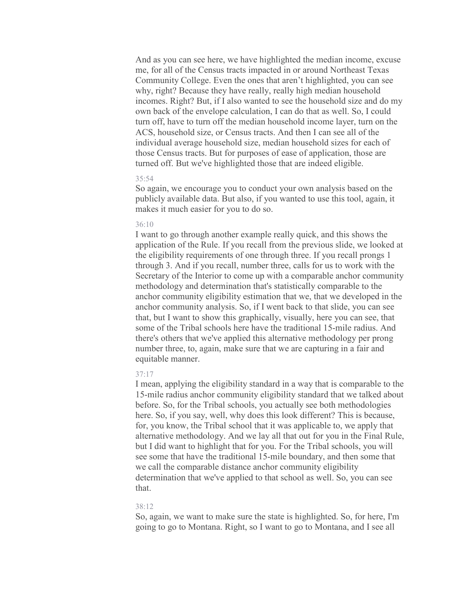And as you can see here, we have highlighted the median income, excuse me, for all of the Census tracts impacted in or around Northeast Texas Community College. Even the ones that aren't highlighted, you can see why, right? Because they have really, really high median household incomes. Right? But, if I also wanted to see the household size and do my own back of the envelope calculation, I can do that as well. So, I could turn off, have to turn off the median household income layer, turn on the ACS, household size, or Census tracts. And then I can see all of the individual average household size, median household sizes for each of those Census tracts. But for purposes of ease of application, those are turned off. But we've highlighted those that are indeed eligible.

# 35:54

So again, we encourage you to conduct your own analysis based on the publicly available data. But also, if you wanted to use this tool, again, it makes it much easier for you to do so.

### 36:10

I want to go through another example really quick, and this shows the application of the Rule. If you recall from the previous slide, we looked at the eligibility requirements of one through three. If you recall prongs 1 through 3. And if you recall, number three, calls for us to work with the Secretary of the Interior to come up with a comparable anchor community methodology and determination that's statistically comparable to the anchor community eligibility estimation that we, that we developed in the anchor community analysis. So, if I went back to that slide, you can see that, but I want to show this graphically, visually, here you can see, that some of the Tribal schools here have the traditional 15-mile radius. And there's others that we've applied this alternative methodology per prong number three, to, again, make sure that we are capturing in a fair and equitable manner.

# 37:17

I mean, applying the eligibility standard in a way that is comparable to the 15-mile radius anchor community eligibility standard that we talked about before. So, for the Tribal schools, you actually see both methodologies here. So, if you say, well, why does this look different? This is because, for, you know, the Tribal school that it was applicable to, we apply that alternative methodology. And we lay all that out for you in the Final Rule, but I did want to highlight that for you. For the Tribal schools, you will see some that have the traditional 15-mile boundary, and then some that we call the comparable distance anchor community eligibility determination that we've applied to that school as well. So, you can see that.

#### 38:12

So, again, we want to make sure the state is highlighted. So, for here, I'm going to go to Montana. Right, so I want to go to Montana, and I see all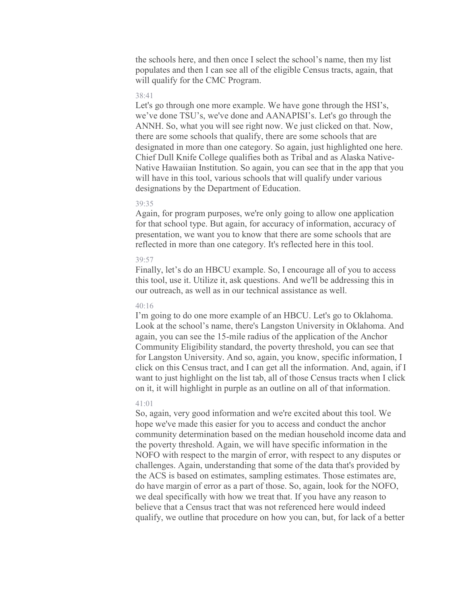the schools here, and then once I select the school's name, then my list populates and then I can see all of the eligible Census tracts, again, that will qualify for the CMC Program.

# 38:41

Let's go through one more example. We have gone through the HSI's, we've done TSU's, we've done and AANAPISI's. Let's go through the ANNH. So, what you will see right now. We just clicked on that. Now, there are some schools that qualify, there are some schools that are designated in more than one category. So again, just highlighted one here. Chief Dull Knife College qualifies both as Tribal and as Alaska Native-Native Hawaiian Institution. So again, you can see that in the app that you will have in this tool, various schools that will qualify under various designations by the Department of Education.

### 39:35

Again, for program purposes, we're only going to allow one application for that school type. But again, for accuracy of information, accuracy of presentation, we want you to know that there are some schools that are reflected in more than one category. It's reflected here in this tool.

#### 39:57

Finally, let's do an HBCU example. So, I encourage all of you to access this tool, use it. Utilize it, ask questions. And we'll be addressing this in our outreach, as well as in our technical assistance as well.

#### 40:16

I'm going to do one more example of an HBCU. Let's go to Oklahoma. Look at the school's name, there's Langston University in Oklahoma. And again, you can see the 15-mile radius of the application of the Anchor Community Eligibility standard, the poverty threshold, you can see that for Langston University. And so, again, you know, specific information, I click on this Census tract, and I can get all the information. And, again, if I want to just highlight on the list tab, all of those Census tracts when I click on it, it will highlight in purple as an outline on all of that information.

### 41:01

So, again, very good information and we're excited about this tool. We hope we've made this easier for you to access and conduct the anchor community determination based on the median household income data and the poverty threshold. Again, we will have specific information in the NOFO with respect to the margin of error, with respect to any disputes or challenges. Again, understanding that some of the data that's provided by the ACS is based on estimates, sampling estimates. Those estimates are, do have margin of error as a part of those. So, again, look for the NOFO, we deal specifically with how we treat that. If you have any reason to believe that a Census tract that was not referenced here would indeed qualify, we outline that procedure on how you can, but, for lack of a better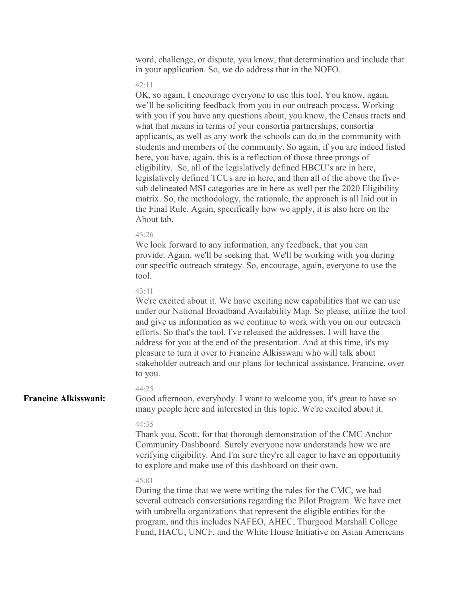word, challenge, or dispute, you know, that determination and include that in your application. So, we do address that in the NOFO.

#### 42:11

OK, so again, I encourage everyone to use this tool. You know, again, we'll be soliciting feedback from you in our outreach process. Working with you if you have any questions about, you know, the Census tracts and what that means in terms of your consortia partnerships, consortia applicants, as well as any work the schools can do in the community with students and members of the community. So again, if you are indeed listed here, you have, again, this is a reflection of those three prongs of eligibility. So, all of the legislatively defined HBCU's are in here, legislatively defined TCUs are in here, and then all of the above the fivesub delineated MSI categories are in here as well per the 2020 Eligibility matrix. So, the methodology, the rationale, the approach is all laid out in the Final Rule. Again, specifically how we apply, it is also here on the About tab.

#### 43:26

We look forward to any information, any feedback, that you can provide. Again, we'll be seeking that. We'll be working with you during our specific outreach strategy. So, encourage, again, everyone to use the tool.

# 43:41

We're excited about it. We have exciting new capabilities that we can use under our National Broadband Availability Map. So please, utilize the tool and give us information as we continue to work with you on our outreach efforts. So that's the tool. I've released the addresses. I will have the address for you at the end of the presentation. And at this time, it's my pleasure to turn it over to Francine Alkisswani who will talk about stakeholder outreach and our plans for technical assistance. Francine, over to you.

# 44:25

**Francine Alkisswani:**

Good afternoon, everybody. I want to welcome you, it's great to have so many people here and interested in this topic. We're excited about it.

# 44:35

Thank you, Scott, for that thorough demonstration of the CMC Anchor Community Dashboard. Surely everyone now understands how we are verifying eligibility. And I'm sure they're all eager to have an opportunity to explore and make use of this dashboard on their own.

### 45:01

During the time that we were writing the rules for the CMC, we had several outreach conversations regarding the Pilot Program. We have met with umbrella organizations that represent the eligible entities for the program, and this includes NAFEO, AHEC, Thurgood Marshall College Fund, HACU, UNCF, and the White House Initiative on Asian Americans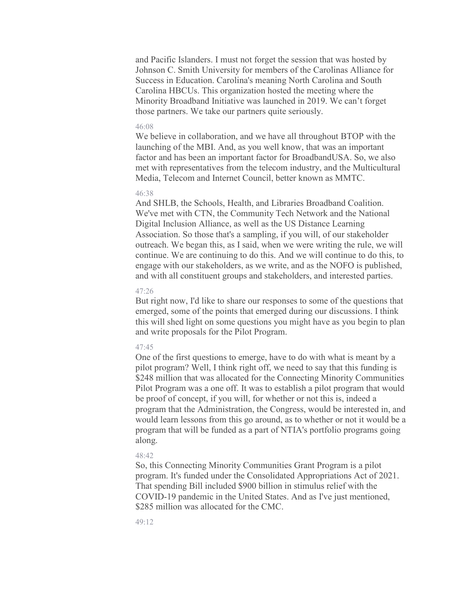and Pacific Islanders. I must not forget the session that was hosted by Johnson C. Smith University for members of the Carolinas Alliance for Success in Education. Carolina's meaning North Carolina and South Carolina HBCUs. This organization hosted the meeting where the Minority Broadband Initiative was launched in 2019. We can't forget those partners. We take our partners quite seriously.

#### 46:08

We believe in collaboration, and we have all throughout BTOP with the launching of the MBI. And, as you well know, that was an important factor and has been an important factor for BroadbandUSA. So, we also met with representatives from the telecom industry, and the Multicultural Media, Telecom and Internet Council, better known as MMTC.

#### 46:38

And SHLB, the Schools, Health, and Libraries Broadband Coalition. We've met with CTN, the Community Tech Network and the National Digital Inclusion Alliance, as well as the US Distance Learning Association. So those that's a sampling, if you will, of our stakeholder outreach. We began this, as I said, when we were writing the rule, we will continue. We are continuing to do this. And we will continue to do this, to engage with our stakeholders, as we write, and as the NOFO is published, and with all constituent groups and stakeholders, and interested parties.

# 47:26

But right now, I'd like to share our responses to some of the questions that emerged, some of the points that emerged during our discussions. I think this will shed light on some questions you might have as you begin to plan and write proposals for the Pilot Program.

#### 47:45

One of the first questions to emerge, have to do with what is meant by a pilot program? Well, I think right off, we need to say that this funding is \$248 million that was allocated for the Connecting Minority Communities Pilot Program was a one off. It was to establish a pilot program that would be proof of concept, if you will, for whether or not this is, indeed a program that the Administration, the Congress, would be interested in, and would learn lessons from this go around, as to whether or not it would be a program that will be funded as a part of NTIA's portfolio programs going along.

### 48:42

So, this Connecting Minority Communities Grant Program is a pilot program. It's funded under the Consolidated Appropriations Act of 2021. That spending Bill included \$900 billion in stimulus relief with the COVID-19 pandemic in the United States. And as I've just mentioned, \$285 million was allocated for the CMC.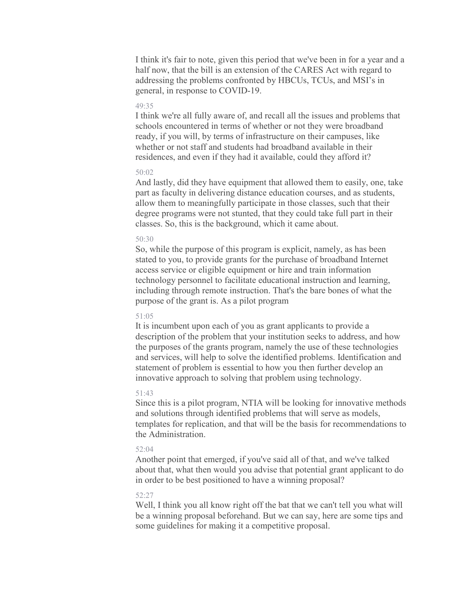I think it's fair to note, given this period that we've been in for a year and a half now, that the bill is an extension of the CARES Act with regard to addressing the problems confronted by HBCUs, TCUs, and MSI's in general, in response to COVID-19.

# 49:35

I think we're all fully aware of, and recall all the issues and problems that schools encountered in terms of whether or not they were broadband ready, if you will, by terms of infrastructure on their campuses, like whether or not staff and students had broadband available in their residences, and even if they had it available, could they afford it?

# $50:02$

And lastly, did they have equipment that allowed them to easily, one, take part as faculty in delivering distance education courses, and as students, allow them to meaningfully participate in those classes, such that their degree programs were not stunted, that they could take full part in their classes. So, this is the background, which it came about.

# $50.30$

So, while the purpose of this program is explicit, namely, as has been stated to you, to provide grants for the purchase of broadband Internet access service or eligible equipment or hire and train information technology personnel to facilitate educational instruction and learning, including through remote instruction. That's the bare bones of what the purpose of the grant is. As a pilot program

#### 51:05

It is incumbent upon each of you as grant applicants to provide a description of the problem that your institution seeks to address, and how the purposes of the grants program, namely the use of these technologies and services, will help to solve the identified problems. Identification and statement of problem is essential to how you then further develop an innovative approach to solving that problem using technology.

# 51:43

Since this is a pilot program, NTIA will be looking for innovative methods and solutions through identified problems that will serve as models, templates for replication, and that will be the basis for recommendations to the Administration.

### 52:04

Another point that emerged, if you've said all of that, and we've talked about that, what then would you advise that potential grant applicant to do in order to be best positioned to have a winning proposal?

# 52:27

Well, I think you all know right off the bat that we can't tell you what will be a winning proposal beforehand. But we can say, here are some tips and some guidelines for making it a competitive proposal.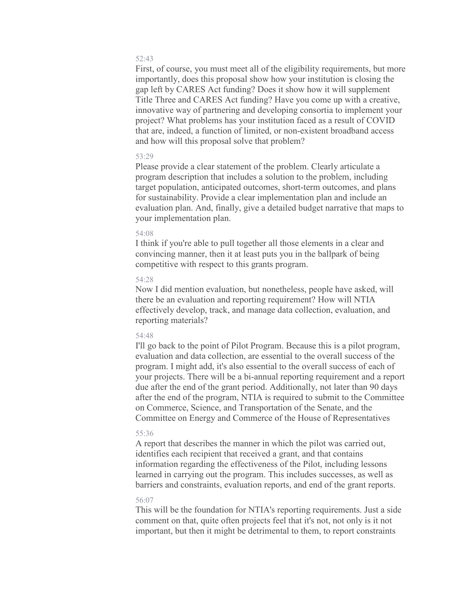First, of course, you must meet all of the eligibility requirements, but more importantly, does this proposal show how your institution is closing the gap left by CARES Act funding? Does it show how it will supplement Title Three and CARES Act funding? Have you come up with a creative, innovative way of partnering and developing consortia to implement your project? What problems has your institution faced as a result of COVID that are, indeed, a function of limited, or non-existent broadband access and how will this proposal solve that problem?

# 53:29

Please provide a clear statement of the problem. Clearly articulate a program description that includes a solution to the problem, including target population, anticipated outcomes, short-term outcomes, and plans for sustainability. Provide a clear implementation plan and include an evaluation plan. And, finally, give a detailed budget narrative that maps to your implementation plan.

#### 54:08

I think if you're able to pull together all those elements in a clear and convincing manner, then it at least puts you in the ballpark of being competitive with respect to this grants program.

# 54:28

Now I did mention evaluation, but nonetheless, people have asked, will there be an evaluation and reporting requirement? How will NTIA effectively develop, track, and manage data collection, evaluation, and reporting materials?

#### 54:48

I'll go back to the point of Pilot Program. Because this is a pilot program, evaluation and data collection, are essential to the overall success of the program. I might add, it's also essential to the overall success of each of your projects. There will be a bi-annual reporting requirement and a report due after the end of the grant period. Additionally, not later than 90 days after the end of the program, NTIA is required to submit to the Committee on Commerce, Science, and Transportation of the Senate, and the Committee on Energy and Commerce of the House of Representatives

#### 55:36

A report that describes the manner in which the pilot was carried out, identifies each recipient that received a grant, and that contains information regarding the effectiveness of the Pilot, including lessons learned in carrying out the program. This includes successes, as well as barriers and constraints, evaluation reports, and end of the grant reports.

### 56:07

This will be the foundation for NTIA's reporting requirements. Just a side comment on that, quite often projects feel that it's not, not only is it not important, but then it might be detrimental to them, to report constraints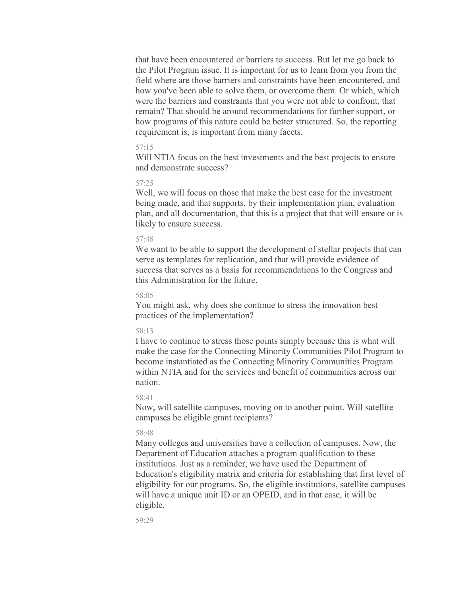that have been encountered or barriers to success. But let me go back to the Pilot Program issue. It is important for us to learn from you from the field where are those barriers and constraints have been encountered, and how you've been able to solve them, or overcome them. Or which, which were the barriers and constraints that you were not able to confront, that remain? That should be around recommendations for further support, or how programs of this nature could be better structured. So, the reporting requirement is, is important from many facets.

# 57:15

Will NTIA focus on the best investments and the best projects to ensure and demonstrate success?

# 57:25

Well, we will focus on those that make the best case for the investment being made, and that supports, by their implementation plan, evaluation plan, and all documentation, that this is a project that that will ensure or is likely to ensure success.

### 57:48

We want to be able to support the development of stellar projects that can serve as templates for replication, and that will provide evidence of success that serves as a basis for recommendations to the Congress and this Administration for the future.

#### 58:05

You might ask, why does she continue to stress the innovation best practices of the implementation?

### 58:13

I have to continue to stress those points simply because this is what will make the case for the Connecting Minority Communities Pilot Program to become instantiated as the Connecting Minority Communities Program within NTIA and for the services and benefit of communities across our nation.

#### 58:41

Now, will satellite campuses, moving on to another point. Will satellite campuses be eligible grant recipients?

#### 58:48

Many colleges and universities have a collection of campuses. Now, the Department of Education attaches a program qualification to these institutions. Just as a reminder, we have used the Department of Education's eligibility matrix and criteria for establishing that first level of eligibility for our programs. So, the eligible institutions, satellite campuses will have a unique unit ID or an OPEID, and in that case, it will be eligible.

59:29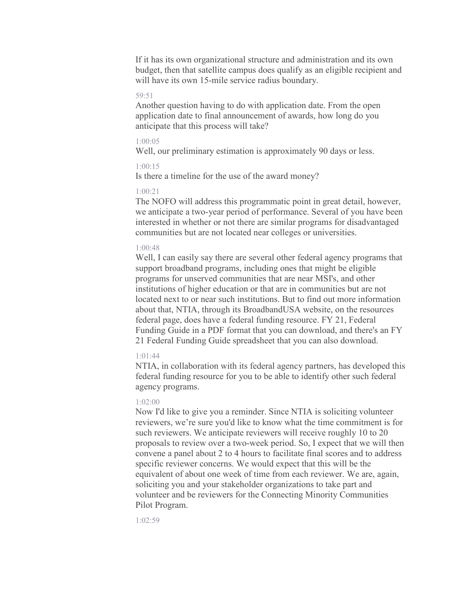If it has its own organizational structure and administration and its own budget, then that satellite campus does qualify as an eligible recipient and will have its own 15-mile service radius boundary.

### 59:51

Another question having to do with application date. From the open application date to final announcement of awards, how long do you anticipate that this process will take?

# 1:00:05

Well, our preliminary estimation is approximately 90 days or less.

### 1:00:15

Is there a timeline for the use of the award money?

# 1:00:21

The NOFO will address this programmatic point in great detail, however, we anticipate a two-year period of performance. Several of you have been interested in whether or not there are similar programs for disadvantaged communities but are not located near colleges or universities.

### 1:00:48

Well, I can easily say there are several other federal agency programs that support broadband programs, including ones that might be eligible programs for unserved communities that are near MSI's, and other institutions of higher education or that are in communities but are not located next to or near such institutions. But to find out more information about that, NTIA, through its BroadbandUSA website, on the resources federal page, does have a federal funding resource. FY 21, Federal Funding Guide in a PDF format that you can download, and there's an FY 21 Federal Funding Guide spreadsheet that you can also download.

# 1:01:44

NTIA, in collaboration with its federal agency partners, has developed this federal funding resource for you to be able to identify other such federal agency programs.

# 1:02:00

Now I'd like to give you a reminder. Since NTIA is soliciting volunteer reviewers, we're sure you'd like to know what the time commitment is for such reviewers. We anticipate reviewers will receive roughly 10 to 20 proposals to review over a two-week period. So, I expect that we will then convene a panel about 2 to 4 hours to facilitate final scores and to address specific reviewer concerns. We would expect that this will be the equivalent of about one week of time from each reviewer. We are, again, soliciting you and your stakeholder organizations to take part and volunteer and be reviewers for the Connecting Minority Communities Pilot Program.

1:02:59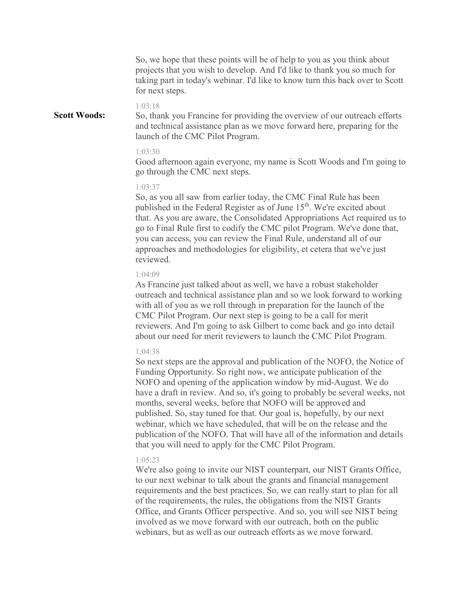So, we hope that these points will be of help to you as you think about projects that you wish to develop. And I'd like to thank you so much for taking part in today's webinar. I'd like to know turn this back over to Scott for next steps.

#### 1:03:18

So, thank you Francine for providing the overview of our outreach efforts and technical assistance plan as we move forward here, preparing for the launch of the CMC Pilot Program. **Scott Woods:**

#### 1:03:30

Good afternoon again everyone, my name is Scott Woods and I'm going to go through the CMC next steps.

# 1:03:37

So, as you all saw from earlier today, the CMC Final Rule has been published in the Federal Register as of June 15<sup>th</sup>. We're excited about that. As you are aware, the Consolidated Appropriations Act required us to go to Final Rule first to codify the CMC pilot Program. We've done that, you can access, you can review the Final Rule, understand all of our approaches and methodologies for eligibility, et cetera that we've just reviewed.

#### 1:04:09

As Francine just talked about as well, we have a robust stakeholder outreach and technical assistance plan and so we look forward to working with all of you as we roll through in preparation for the launch of the CMC Pilot Program. Our next step is going to be a call for merit reviewers. And I'm going to ask Gilbert to come back and go into detail about our need for merit reviewers to launch the CMC Pilot Program.

# 1:04:38

So next steps are the approval and publication of the NOFO, the Notice of Funding Opportunity. So right now, we anticipate publication of the NOFO and opening of the application window by mid-August. We do have a draft in review. And so, it's going to probably be several weeks, not months, several weeks, before that NOFO will be approved and published. So, stay tuned for that. Our goal is, hopefully, by our next webinar, which we have scheduled, that will be on the release and the publication of the NOFO. That will have all of the information and details that you will need to apply for the CMC Pilot Program.

### 1:05:23

We're also going to invite our NIST counterpart, our NIST Grants Office, to our next webinar to talk about the grants and financial management requirements and the best practices. So, we can really start to plan for all of the requirements, the rules, the obligations from the NIST Grants Office, and Grants Officer perspective. And so, you will see NIST being involved as we move forward with our outreach, both on the public webinars, but as well as our outreach efforts as we move forward.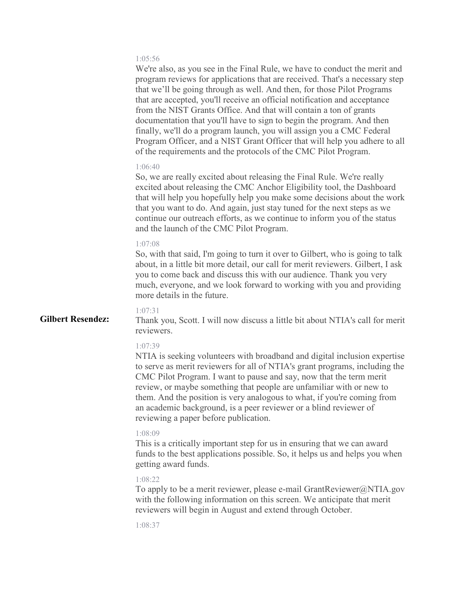# 1:05:56

We're also, as you see in the Final Rule, we have to conduct the merit and program reviews for applications that are received. That's a necessary step that we'll be going through as well. And then, for those Pilot Programs that are accepted, you'll receive an official notification and acceptance from the NIST Grants Office. And that will contain a ton of grants documentation that you'll have to sign to begin the program. And then finally, we'll do a program launch, you will assign you a CMC Federal Program Officer, and a NIST Grant Officer that will help you adhere to all of the requirements and the protocols of the CMC Pilot Program.

#### 1:06:40

So, we are really excited about releasing the Final Rule. We're really excited about releasing the CMC Anchor Eligibility tool, the Dashboard that will help you hopefully help you make some decisions about the work that you want to do. And again, just stay tuned for the next steps as we continue our outreach efforts, as we continue to inform you of the status and the launch of the CMC Pilot Program.

### 1:07:08

So, with that said, I'm going to turn it over to Gilbert, who is going to talk about, in a little bit more detail, our call for merit reviewers. Gilbert, I ask you to come back and discuss this with our audience. Thank you very much, everyone, and we look forward to working with you and providing more details in the future.

# 1:07:31

**Gilbert Resendez:**

Thank you, Scott. I will now discuss a little bit about NTIA's call for merit reviewers.

#### 1:07:39

NTIA is seeking volunteers with broadband and digital inclusion expertise to serve as merit reviewers for all of NTIA's grant programs, including the CMC Pilot Program. I want to pause and say, now that the term merit review, or maybe something that people are unfamiliar with or new to them. And the position is very analogous to what, if you're coming from an academic background, is a peer reviewer or a blind reviewer of reviewing a paper before publication.

#### 1:08:09

This is a critically important step for us in ensuring that we can award funds to the best applications possible. So, it helps us and helps you when getting award funds.

### 1:08:22

To apply to be a merit reviewer, please e-mail GrantReviewer@NTIA.gov with the following information on this screen. We anticipate that merit reviewers will begin in August and extend through October.

1:08:37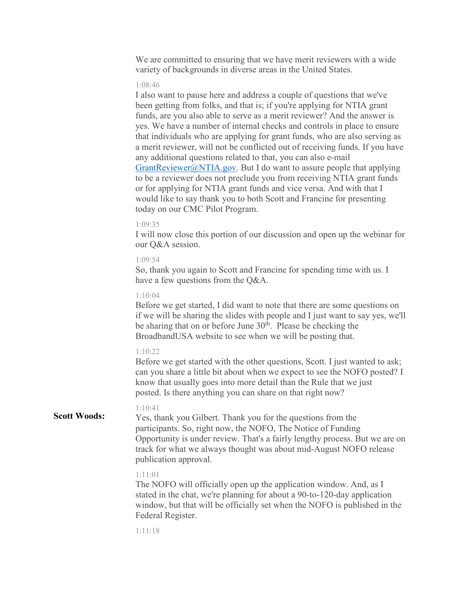We are committed to ensuring that we have merit reviewers with a wide variety of backgrounds in diverse areas in the United States.

#### 1:08:46

I also want to pause here and address a couple of questions that we've been getting from folks, and that is; if you're applying for NTIA grant funds, are you also able to serve as a merit reviewer? And the answer is yes. We have a number of internal checks and controls in place to ensure that individuals who are applying for grant funds, who are also serving as a merit reviewer, will not be conflicted out of receiving funds. If you have any additional questions related to that, you can also e-mail [GrantReviewer@NTIA.gov.](about:blank) But I do want to assure people that applying to be a reviewer does not preclude you from receiving NTIA grant funds or for applying for NTIA grant funds and vice versa. And with that I would like to say thank you to both Scott and Francine for presenting today on our CMC Pilot Program.

### 1:09:35

I will now close this portion of our discussion and open up the webinar for our Q&A session.

# 1:09:54

So, thank you again to Scott and Francine for spending time with us. I have a few questions from the Q&A.

#### 1:10:04

Before we get started, I did want to note that there are some questions on if we will be sharing the slides with people and I just want to say yes, we'll be sharing that on or before June  $30<sup>th</sup>$ . Please be checking the BroadbandUSA website to see when we will be posting that.

# 1:10:22

Before we get started with the other questions, Scott. I just wanted to ask; can you share a little bit about when we expect to see the NOFO posted? I know that usually goes into more detail than the Rule that we just posted. Is there anything you can share on that right now?

#### 1:10:41 **Scott Woods:**

Yes, thank you Gilbert. Thank you for the questions from the participants. So, right now, the NOFO, The Notice of Funding Opportunity is under review. That's a fairly lengthy process. But we are on track for what we always thought was about mid-August NOFO release publication approval.

#### 1:11:01

The NOFO will officially open up the application window. And, as I stated in the chat, we're planning for about a 90-to-120-day application window, but that will be officially set when the NOFO is published in the Federal Register.

1:11:18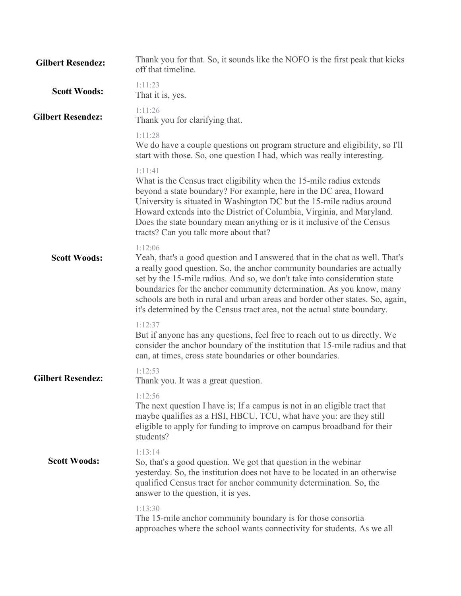| <b>Gilbert Resendez:</b> | Thank you for that. So, it sounds like the NOFO is the first peak that kicks<br>off that timeline.                                                                                                                                                                                                                                                                                                                                                                                    |
|--------------------------|---------------------------------------------------------------------------------------------------------------------------------------------------------------------------------------------------------------------------------------------------------------------------------------------------------------------------------------------------------------------------------------------------------------------------------------------------------------------------------------|
| <b>Scott Woods:</b>      | 1:11:23<br>That it is, yes.                                                                                                                                                                                                                                                                                                                                                                                                                                                           |
| <b>Gilbert Resendez:</b> | 1:11:26<br>Thank you for clarifying that.                                                                                                                                                                                                                                                                                                                                                                                                                                             |
|                          | 1:11:28<br>We do have a couple questions on program structure and eligibility, so I'll<br>start with those. So, one question I had, which was really interesting.                                                                                                                                                                                                                                                                                                                     |
|                          | 1:11:41<br>What is the Census tract eligibility when the 15-mile radius extends<br>beyond a state boundary? For example, here in the DC area, Howard<br>University is situated in Washington DC but the 15-mile radius around<br>Howard extends into the District of Columbia, Virginia, and Maryland.<br>Does the state boundary mean anything or is it inclusive of the Census<br>tracts? Can you talk more about that?                                                             |
| <b>Scott Woods:</b>      | 1:12:06<br>Yeah, that's a good question and I answered that in the chat as well. That's<br>a really good question. So, the anchor community boundaries are actually<br>set by the 15-mile radius. And so, we don't take into consideration state<br>boundaries for the anchor community determination. As you know, many<br>schools are both in rural and urban areas and border other states. So, again,<br>it's determined by the Census tract area, not the actual state boundary. |
|                          | 1:12:37<br>But if anyone has any questions, feel free to reach out to us directly. We<br>consider the anchor boundary of the institution that 15-mile radius and that<br>can, at times, cross state boundaries or other boundaries.                                                                                                                                                                                                                                                   |
| <b>Gilbert Resendez:</b> | 1:12:53<br>Thank you. It was a great question.                                                                                                                                                                                                                                                                                                                                                                                                                                        |
|                          | 1:12:56<br>The next question I have is; If a campus is not in an eligible tract that<br>maybe qualifies as a HSI, HBCU, TCU, what have you: are they still<br>eligible to apply for funding to improve on campus broadband for their<br>students?                                                                                                                                                                                                                                     |
| <b>Scott Woods:</b>      | 1:13:14<br>So, that's a good question. We got that question in the webinar<br>yesterday. So, the institution does not have to be located in an otherwise<br>qualified Census tract for anchor community determination. So, the<br>answer to the question, it is yes.                                                                                                                                                                                                                  |
|                          | 1:13:30<br>The 15-mile anchor community boundary is for those consortia<br>approaches where the school wants connectivity for students. As we all                                                                                                                                                                                                                                                                                                                                     |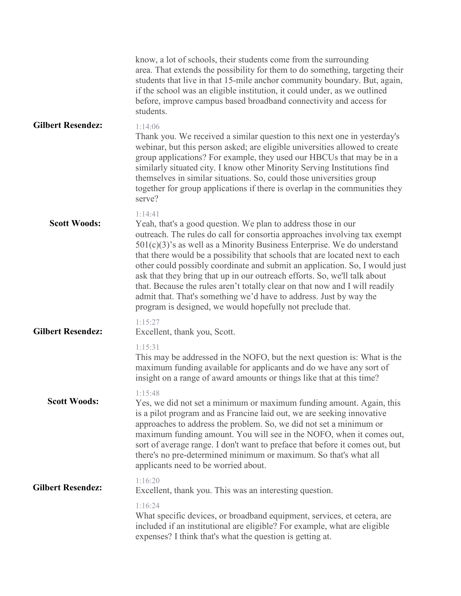|                          | know, a lot of schools, their students come from the surrounding<br>area. That extends the possibility for them to do something, targeting their<br>students that live in that 15-mile anchor community boundary. But, again,<br>if the school was an eligible institution, it could under, as we outlined<br>before, improve campus based broadband connectivity and access for<br>students.                                                                                                                                                                                                                                                                                                      |
|--------------------------|----------------------------------------------------------------------------------------------------------------------------------------------------------------------------------------------------------------------------------------------------------------------------------------------------------------------------------------------------------------------------------------------------------------------------------------------------------------------------------------------------------------------------------------------------------------------------------------------------------------------------------------------------------------------------------------------------|
| <b>Gilbert Resendez:</b> | 1:14:06<br>Thank you. We received a similar question to this next one in yesterday's<br>webinar, but this person asked; are eligible universities allowed to create<br>group applications? For example, they used our HBCUs that may be in a<br>similarly situated city. I know other Minority Serving Institutions find<br>themselves in similar situations. So, could those universities group<br>together for group applications if there is overlap in the communities they<br>serve?                                                                                                                                                                                                          |
| <b>Scott Woods:</b>      | 1:14:41<br>Yeah, that's a good question. We plan to address those in our<br>outreach. The rules do call for consortia approaches involving tax exempt<br>$501(c)(3)$ 's as well as a Minority Business Enterprise. We do understand<br>that there would be a possibility that schools that are located next to each<br>other could possibly coordinate and submit an application. So, I would just<br>ask that they bring that up in our outreach efforts. So, we'll talk about<br>that. Because the rules aren't totally clear on that now and I will readily<br>admit that. That's something we'd have to address. Just by way the<br>program is designed, we would hopefully not preclude that. |
| <b>Gilbert Resendez:</b> | 1:15:27<br>Excellent, thank you, Scott.                                                                                                                                                                                                                                                                                                                                                                                                                                                                                                                                                                                                                                                            |
|                          | 1:15:31<br>This may be addressed in the NOFO, but the next question is: What is the<br>maximum funding available for applicants and do we have any sort of<br>insight on a range of award amounts or things like that at this time?                                                                                                                                                                                                                                                                                                                                                                                                                                                                |
| <b>Scott Woods:</b>      | 1:15:48<br>Yes, we did not set a minimum or maximum funding amount. Again, this<br>is a pilot program and as Francine laid out, we are seeking innovative<br>approaches to address the problem. So, we did not set a minimum or<br>maximum funding amount. You will see in the NOFO, when it comes out,<br>sort of average range. I don't want to preface that before it comes out, but<br>there's no pre-determined minimum or maximum. So that's what all<br>applicants need to be worried about.                                                                                                                                                                                                |
| <b>Gilbert Resendez:</b> | 1:16:20<br>Excellent, thank you. This was an interesting question.                                                                                                                                                                                                                                                                                                                                                                                                                                                                                                                                                                                                                                 |
|                          | 1:16:24<br>What specific devices, or broadband equipment, services, et cetera, are<br>included if an institutional are eligible? For example, what are eligible<br>expenses? I think that's what the question is getting at.                                                                                                                                                                                                                                                                                                                                                                                                                                                                       |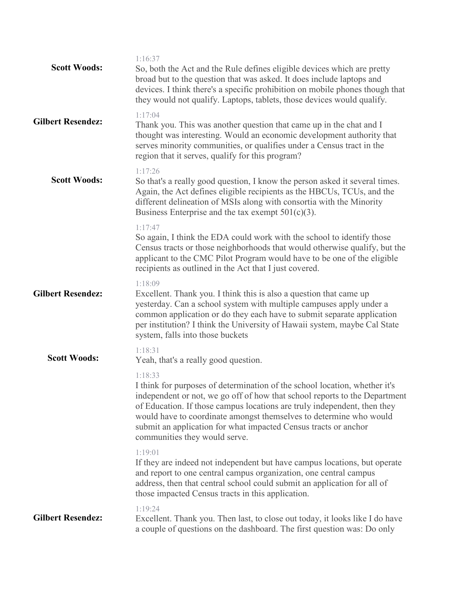| <b>Scott Woods:</b>      | 1:16:37<br>So, both the Act and the Rule defines eligible devices which are pretty<br>broad but to the question that was asked. It does include laptops and<br>devices. I think there's a specific prohibition on mobile phones though that<br>they would not qualify. Laptops, tablets, those devices would qualify.                                                                                                     |
|--------------------------|---------------------------------------------------------------------------------------------------------------------------------------------------------------------------------------------------------------------------------------------------------------------------------------------------------------------------------------------------------------------------------------------------------------------------|
| <b>Gilbert Resendez:</b> | 1:17:04<br>Thank you. This was another question that came up in the chat and I<br>thought was interesting. Would an economic development authority that<br>serves minority communities, or qualifies under a Census tract in the<br>region that it serves, qualify for this program?                                                                                                                                      |
| <b>Scott Woods:</b>      | 1:17:26<br>So that's a really good question, I know the person asked it several times.<br>Again, the Act defines eligible recipients as the HBCUs, TCUs, and the<br>different delineation of MSIs along with consortia with the Minority<br>Business Enterprise and the tax exempt $501(c)(3)$ .                                                                                                                          |
|                          | 1:17:47<br>So again, I think the EDA could work with the school to identify those<br>Census tracts or those neighborhoods that would otherwise qualify, but the<br>applicant to the CMC Pilot Program would have to be one of the eligible<br>recipients as outlined in the Act that I just covered.                                                                                                                      |
| <b>Gilbert Resendez:</b> | 1:18:09<br>Excellent. Thank you. I think this is also a question that came up<br>yesterday. Can a school system with multiple campuses apply under a<br>common application or do they each have to submit separate application<br>per institution? I think the University of Hawaii system, maybe Cal State<br>system, falls into those buckets                                                                           |
| <b>Scott Woods:</b>      | 1:18:31<br>Yeah, that's a really good question.                                                                                                                                                                                                                                                                                                                                                                           |
|                          | 1:18:33<br>I think for purposes of determination of the school location, whether it's<br>independent or not, we go off of how that school reports to the Department<br>of Education. If those campus locations are truly independent, then they<br>would have to coordinate amongst themselves to determine who would<br>submit an application for what impacted Census tracts or anchor<br>communities they would serve. |
|                          | 1:19:01<br>If they are indeed not independent but have campus locations, but operate<br>and report to one central campus organization, one central campus<br>address, then that central school could submit an application for all of<br>those impacted Census tracts in this application.                                                                                                                                |
| <b>Gilbert Resendez:</b> | 1:19:24<br>Excellent. Thank you. Then last, to close out today, it looks like I do have<br>a couple of questions on the dashboard. The first question was: Do only                                                                                                                                                                                                                                                        |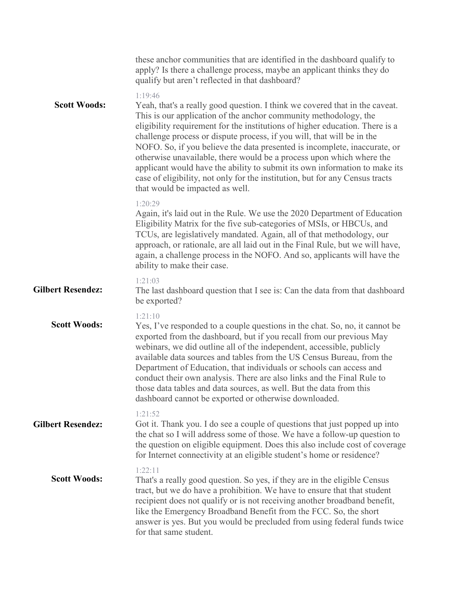|                          | these anchor communities that are identified in the dashboard qualify to<br>apply? Is there a challenge process, maybe an applicant thinks they do<br>qualify but aren't reflected in that dashboard?                                                                                                                                                                                                                                                                                                                                                                                                                                                                      |
|--------------------------|----------------------------------------------------------------------------------------------------------------------------------------------------------------------------------------------------------------------------------------------------------------------------------------------------------------------------------------------------------------------------------------------------------------------------------------------------------------------------------------------------------------------------------------------------------------------------------------------------------------------------------------------------------------------------|
| <b>Scott Woods:</b>      | 1:19:46<br>Yeah, that's a really good question. I think we covered that in the caveat.<br>This is our application of the anchor community methodology, the<br>eligibility requirement for the institutions of higher education. There is a<br>challenge process or dispute process, if you will, that will be in the<br>NOFO. So, if you believe the data presented is incomplete, inaccurate, or<br>otherwise unavailable, there would be a process upon which where the<br>applicant would have the ability to submit its own information to make its<br>case of eligibility, not only for the institution, but for any Census tracts<br>that would be impacted as well. |
|                          | 1:20:29<br>Again, it's laid out in the Rule. We use the 2020 Department of Education<br>Eligibility Matrix for the five sub-categories of MSIs, or HBCUs, and<br>TCUs, are legislatively mandated. Again, all of that methodology, our<br>approach, or rationale, are all laid out in the Final Rule, but we will have,<br>again, a challenge process in the NOFO. And so, applicants will have the<br>ability to make their case.                                                                                                                                                                                                                                         |
| <b>Gilbert Resendez:</b> | 1:21:03<br>The last dashboard question that I see is: Can the data from that dashboard<br>be exported?                                                                                                                                                                                                                                                                                                                                                                                                                                                                                                                                                                     |
| <b>Scott Woods:</b>      | 1:21:10<br>Yes, I've responded to a couple questions in the chat. So, no, it cannot be<br>exported from the dashboard, but if you recall from our previous May<br>webinars, we did outline all of the independent, accessible, publicly<br>available data sources and tables from the US Census Bureau, from the<br>Department of Education, that individuals or schools can access and<br>conduct their own analysis. There are also links and the Final Rule to<br>those data tables and data sources, as well. But the data from this<br>dashboard cannot be exported or otherwise downloaded.                                                                          |
| <b>Gilbert Resendez:</b> | 1:21:52<br>Got it. Thank you. I do see a couple of questions that just popped up into<br>the chat so I will address some of those. We have a follow-up question to<br>the question on eligible equipment. Does this also include cost of coverage<br>for Internet connectivity at an eligible student's home or residence?                                                                                                                                                                                                                                                                                                                                                 |
| <b>Scott Woods:</b>      | 1:22:11<br>That's a really good question. So yes, if they are in the eligible Census<br>tract, but we do have a prohibition. We have to ensure that that student<br>recipient does not qualify or is not receiving another broadband benefit,<br>like the Emergency Broadband Benefit from the FCC. So, the short<br>answer is yes. But you would be precluded from using federal funds twice<br>for that same student.                                                                                                                                                                                                                                                    |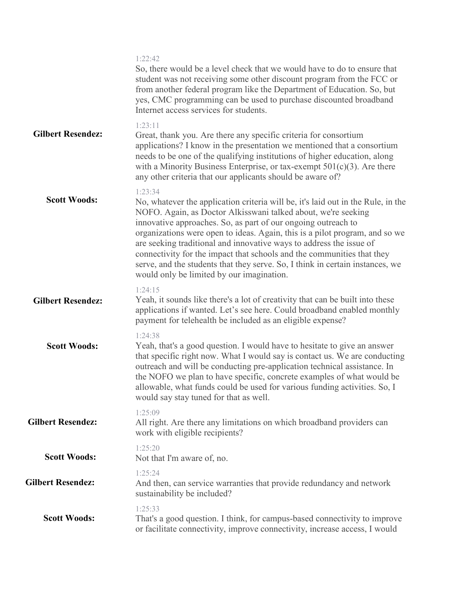|                          | 1:22:42<br>So, there would be a level check that we would have to do to ensure that<br>student was not receiving some other discount program from the FCC or<br>from another federal program like the Department of Education. So, but<br>yes, CMC programming can be used to purchase discounted broadband<br>Internet access services for students.                                                                                                                                                                                                                                       |
|--------------------------|---------------------------------------------------------------------------------------------------------------------------------------------------------------------------------------------------------------------------------------------------------------------------------------------------------------------------------------------------------------------------------------------------------------------------------------------------------------------------------------------------------------------------------------------------------------------------------------------|
| <b>Gilbert Resendez:</b> | 1:23:11<br>Great, thank you. Are there any specific criteria for consortium<br>applications? I know in the presentation we mentioned that a consortium<br>needs to be one of the qualifying institutions of higher education, along<br>with a Minority Business Enterprise, or tax-exempt $501(c)(3)$ . Are there<br>any other criteria that our applicants should be aware of?                                                                                                                                                                                                             |
| <b>Scott Woods:</b>      | 1:23:34<br>No, whatever the application criteria will be, it's laid out in the Rule, in the<br>NOFO. Again, as Doctor Alkisswani talked about, we're seeking<br>innovative approaches. So, as part of our ongoing outreach to<br>organizations were open to ideas. Again, this is a pilot program, and so we<br>are seeking traditional and innovative ways to address the issue of<br>connectivity for the impact that schools and the communities that they<br>serve, and the students that they serve. So, I think in certain instances, we<br>would only be limited by our imagination. |
| <b>Gilbert Resendez:</b> | 1:24:15<br>Yeah, it sounds like there's a lot of creativity that can be built into these<br>applications if wanted. Let's see here. Could broadband enabled monthly<br>payment for telehealth be included as an eligible expense?                                                                                                                                                                                                                                                                                                                                                           |
| <b>Scott Woods:</b>      | 1:24:38<br>Yeah, that's a good question. I would have to hesitate to give an answer<br>that specific right now. What I would say is contact us. We are conducting<br>outreach and will be conducting pre-application technical assistance. In<br>the NOFO we plan to have specific, concrete examples of what would be<br>allowable, what funds could be used for various funding activities. So, I<br>would say stay tuned for that as well.                                                                                                                                               |
| <b>Gilbert Resendez:</b> | 1:25:09<br>All right. Are there any limitations on which broadband providers can<br>work with eligible recipients?                                                                                                                                                                                                                                                                                                                                                                                                                                                                          |
| <b>Scott Woods:</b>      | 1:25:20<br>Not that I'm aware of, no.                                                                                                                                                                                                                                                                                                                                                                                                                                                                                                                                                       |
| <b>Gilbert Resendez:</b> | 1:25:24<br>And then, can service warranties that provide redundancy and network<br>sustainability be included?                                                                                                                                                                                                                                                                                                                                                                                                                                                                              |
| <b>Scott Woods:</b>      | 1:25:33<br>That's a good question. I think, for campus-based connectivity to improve<br>or facilitate connectivity, improve connectivity, increase access, I would                                                                                                                                                                                                                                                                                                                                                                                                                          |